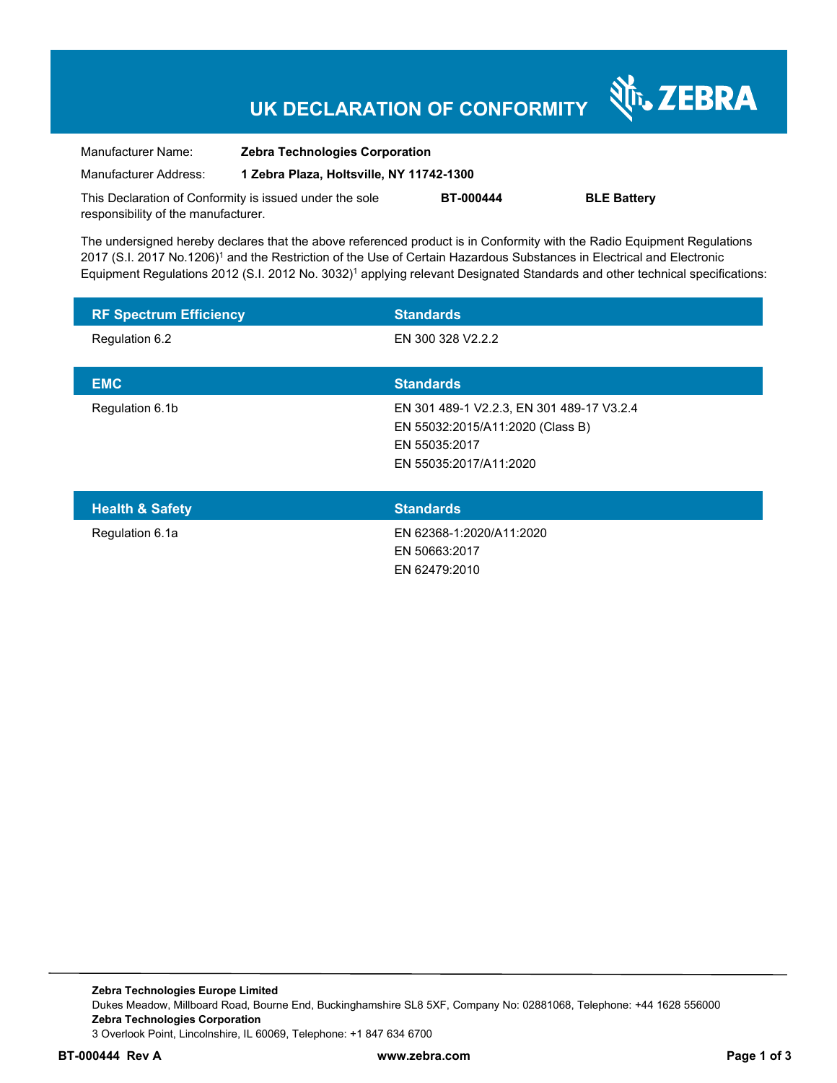# **UK DECLARATION OF CONFORMITY**

Nr. ZEBRA

| Manufacturer Name:                                      | <b>Zebra Technologies Corporation</b>    |                  |                    |
|---------------------------------------------------------|------------------------------------------|------------------|--------------------|
| Manufacturer Address:                                   | 1 Zebra Plaza, Holtsville, NY 11742-1300 |                  |                    |
| This Declaration of Conformity is issued under the sole |                                          | <b>BT-000444</b> | <b>BLE Battery</b> |
| responsibility of the manufacturer.                     |                                          |                  |                    |

The undersigned hereby declares that the above referenced product is in Conformity with the Radio Equipment Regulations 2017 (S.I. 2017 No.1206)<sup>1</sup> and the Restriction of the Use of Certain Hazardous Substances in Electrical and Electronic Equipment Regulations 2012 (S.I. 2012 No. 3032)<sup>1</sup> applying relevant Designated Standards and other technical specifications:

| <b>RF Spectrum Efficiency</b> | <b>Standards</b>                                                                                                         |
|-------------------------------|--------------------------------------------------------------------------------------------------------------------------|
| Regulation 6.2                | EN 300 328 V2.2.2                                                                                                        |
| <b>EMC</b>                    | <b>Standards</b>                                                                                                         |
| Regulation 6.1b               | EN 301 489-1 V2.2.3, EN 301 489-17 V3.2.4<br>EN 55032:2015/A11:2020 (Class B)<br>EN 55035:2017<br>EN 55035:2017/A11:2020 |
| <b>Health &amp; Safety</b>    | <b>Standards</b>                                                                                                         |
| Regulation 6.1a               | EN 62368-1:2020/A11:2020<br>EN 50663:2017                                                                                |

EN 62479:2010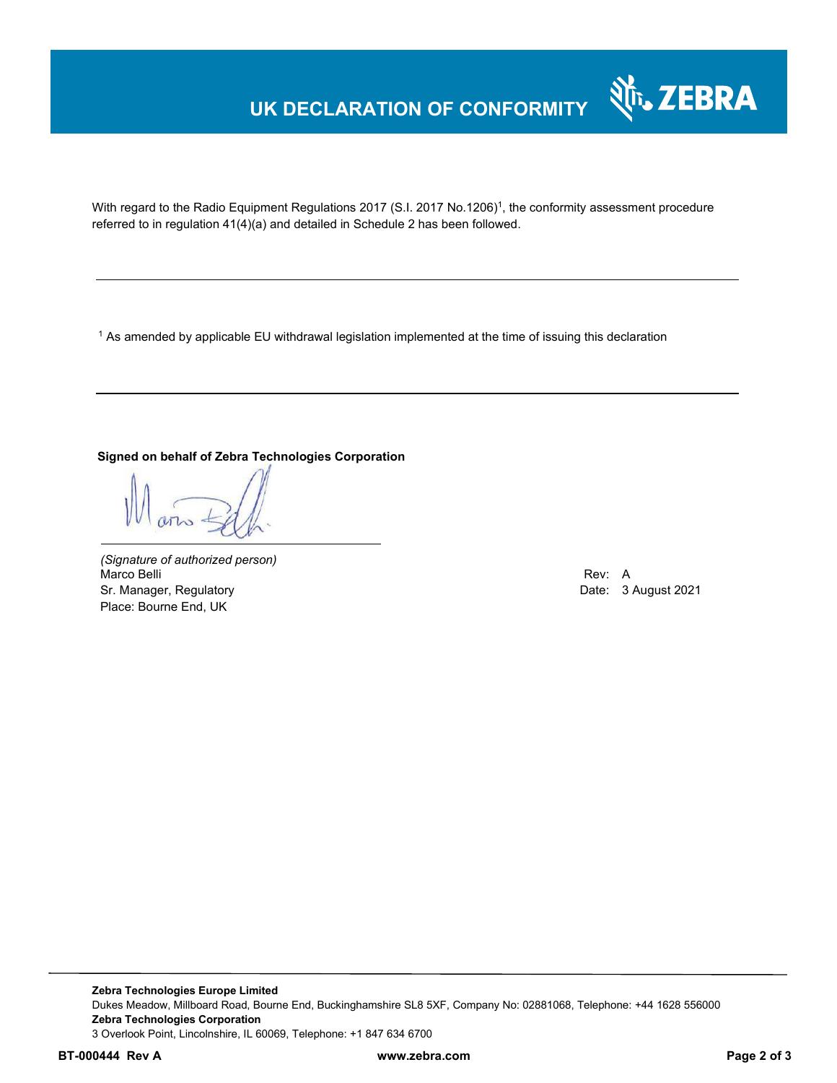## **UK DECLARATION OF CONFORMITY**



With regard to the Radio Equipment Regulations 2017 (S.I. 2017 No.1206)<sup>1</sup>, the conformity assessment procedure referred to in regulation 41(4)(a) and detailed in Schedule 2 has been followed.

 $^{\rm 1}$  As amended by applicable EU withdrawal legislation implemented at the time of issuing this declaration

#### **Signed on behalf of Zebra Technologies Corporation**

*(Signature of authorized person)* Marco Belli Rev: A Alexander Communication of the Communication of the Communication of the Communication of the Communication of the Communication of the Communication of the Communication of the Communication of the Comm Sr. Manager, Regulatory **Date: 3 August 2021** Controller and Date: 3 August 2021 Place: Bourne End, UK

**Zebra Technologies Europe Limited**  Dukes Meadow, Millboard Road, Bourne End, Buckinghamshire SL8 5XF, Company No: 02881068, Telephone: +44 1628 556000 **Zebra Technologies Corporation**  3 Overlook Point, Lincolnshire, IL 60069, Telephone: +1 847 634 6700